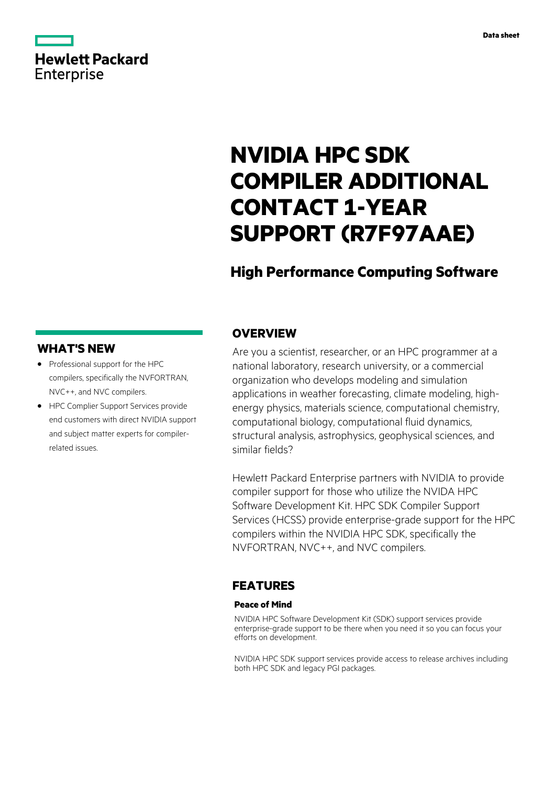# **Hewlett Packard** Enterprise

# **NVIDIA HPC SDK COMPILER ADDITIONAL CONTACT 1-YEAR SUPPORT (R7F97AAE)**

## **High Performance Computing Software**

## **WHAT'S NEW**

- **·** Professional support for the HPC compilers, specifically the NVFORTRAN, NVC++, and NVC compilers.
- **·** HPC Complier Support Services provide end customers with direct NVIDIA support and subject matter experts for compilerrelated issues.

### **OVERVIEW**

Are you a scientist, researcher, or an HPC programmer at a national laboratory, research university, or a commercial organization who develops modeling and simulation applications in weather forecasting, climate modeling, highenergy physics, materials science, computational chemistry, computational biology, computational fluid dynamics, structural analysis, astrophysics, geophysical sciences, and similar fields?

Hewlett Packard Enterprise partners with NVIDIA to provide compiler support for those who utilize the NVIDA HPC Software Development Kit. HPC SDK Compiler Support Services (HCSS) provide enterprise-grade support for the HPC compilers within the NVIDIA HPC SDK, specifically the NVFORTRAN, NVC++, and NVC compilers.

### **FEATURES**

#### **Peace of Mind**

NVIDIA HPC Software Development Kit (SDK) support services provide enterprise-grade support to be there when you need it so you can focus your efforts on development.

NVIDIA HPC SDK support services provide access to release archives including both HPC SDK and legacy PGI packages.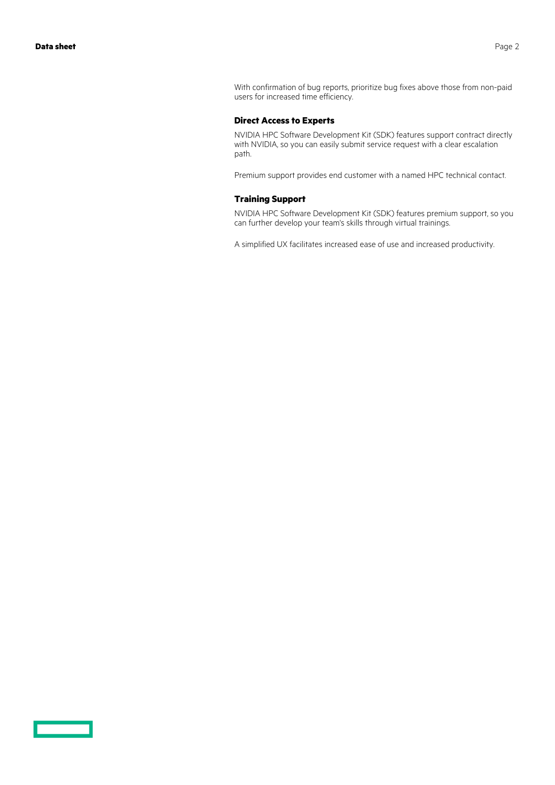With confirmation of bug reports, prioritize bug fixes above those from non-paid users for increased time efficiency.

#### **Direct Access to Experts**

NVIDIA HPC Software Development Kit (SDK) features support contract directly with NVIDIA, so you can easily submit service request with a clear escalation path.

Premium support provides end customer with a named HPC technical contact.

#### **Training Support**

NVIDIA HPC Software Development Kit (SDK) features premium support, so you can further develop your team's skills through virtual trainings.

A simplified UX facilitates increased ease of use and increased productivity.